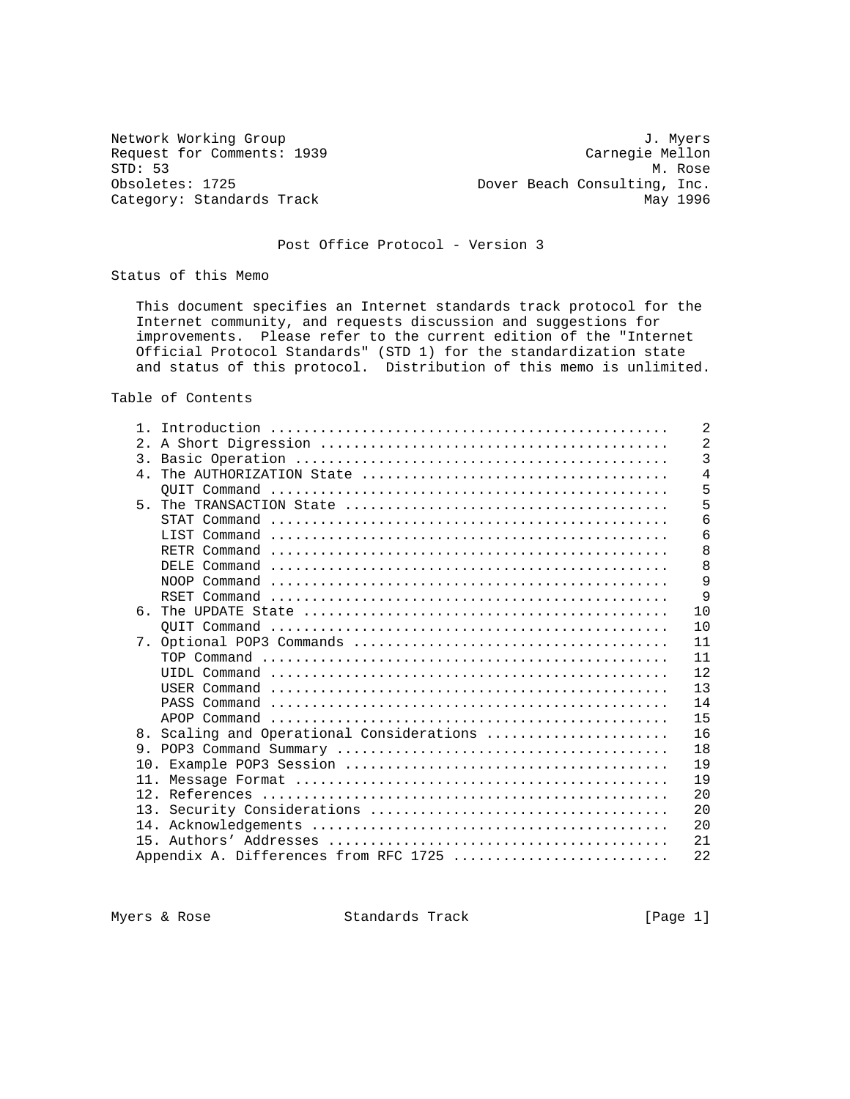Network Working Group 3. 2008 3. Myers Request for Comments: 1939 Carnegie Mellon<br>STD: 53 M. Rose STD: 53 M. Rose<br>Obsoletes: 1725 Mexicos Dover Beach Consulting, Inc. Dover Beach Consulting, Inc. Category: Standards Track May 1996

# Post Office Protocol - Version 3

Status of this Memo

 This document specifies an Internet standards track protocol for the Internet community, and requests discussion and suggestions for improvements. Please refer to the current edition of the "Internet Official Protocol Standards" (STD 1) for the standardization state and status of this protocol. Distribution of this memo is unlimited.

Table of Contents

| $\mathbf{1}$ |                                        | 2              |
|--------------|----------------------------------------|----------------|
| 2.1          |                                        | $\overline{2}$ |
|              |                                        | 3              |
|              |                                        | 4              |
|              |                                        | 5              |
|              |                                        | 5              |
|              |                                        | 6              |
|              |                                        | 6              |
|              |                                        | 8              |
|              |                                        | 8              |
|              |                                        | 9              |
|              |                                        | 9              |
| რ —          |                                        | 10             |
|              |                                        | 10             |
|              |                                        | 11             |
|              |                                        | 11             |
|              |                                        | 12             |
|              |                                        | 13             |
|              |                                        | 14             |
|              |                                        | 15             |
| 8.           | Scaling and Operational Considerations | 16             |
| 9            |                                        | 18             |
|              |                                        | 19             |
| 11.          |                                        | 19             |
|              |                                        | 2.0            |
|              |                                        | 20             |
|              |                                        | 20             |
|              |                                        | 21             |
|              | Appendix A. Differences from RFC 1725  | 22             |
|              |                                        |                |

Myers & Rose Standards Track [Page 1]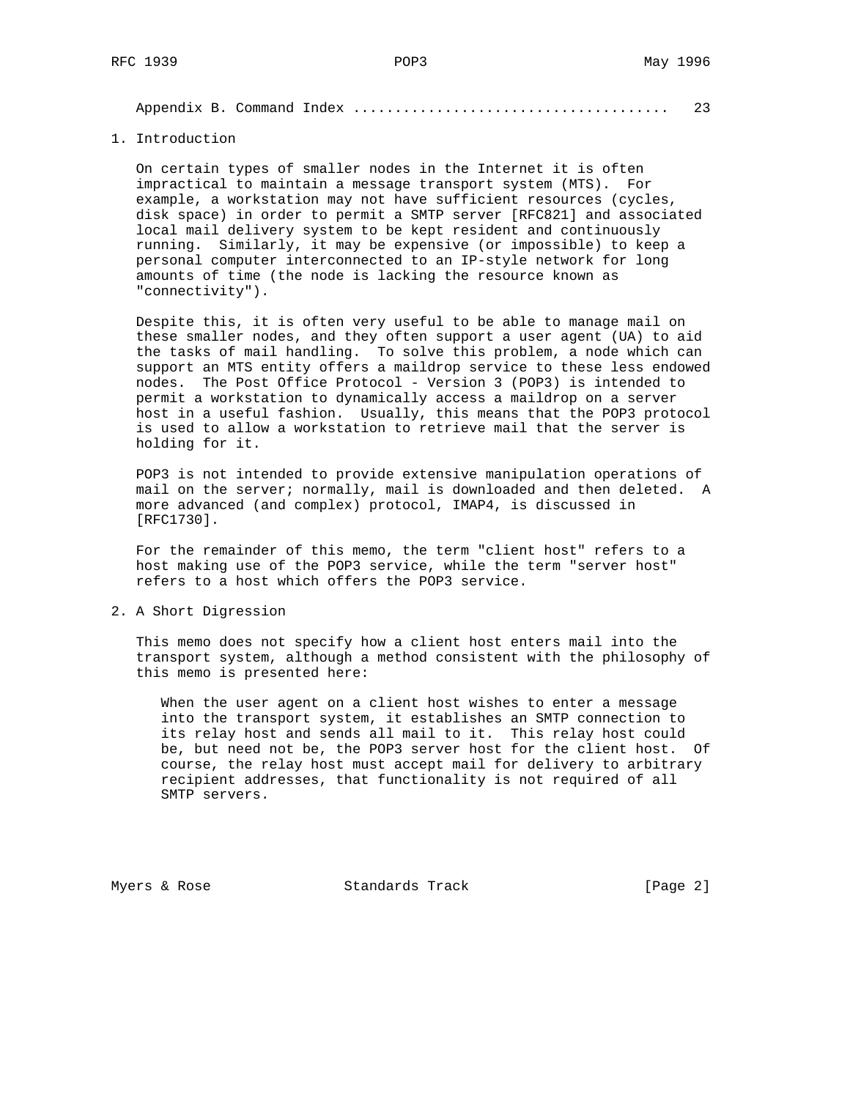Appendix B. Command Index ...................................... 23

1. Introduction

 On certain types of smaller nodes in the Internet it is often impractical to maintain a message transport system (MTS). For example, a workstation may not have sufficient resources (cycles, disk space) in order to permit a SMTP server [RFC821] and associated local mail delivery system to be kept resident and continuously running. Similarly, it may be expensive (or impossible) to keep a personal computer interconnected to an IP-style network for long amounts of time (the node is lacking the resource known as "connectivity").

 Despite this, it is often very useful to be able to manage mail on these smaller nodes, and they often support a user agent (UA) to aid the tasks of mail handling. To solve this problem, a node which can support an MTS entity offers a maildrop service to these less endowed nodes. The Post Office Protocol - Version 3 (POP3) is intended to permit a workstation to dynamically access a maildrop on a server host in a useful fashion. Usually, this means that the POP3 protocol is used to allow a workstation to retrieve mail that the server is holding for it.

 POP3 is not intended to provide extensive manipulation operations of mail on the server; normally, mail is downloaded and then deleted. A more advanced (and complex) protocol, IMAP4, is discussed in [RFC1730].

 For the remainder of this memo, the term "client host" refers to a host making use of the POP3 service, while the term "server host" refers to a host which offers the POP3 service.

2. A Short Digression

 This memo does not specify how a client host enters mail into the transport system, although a method consistent with the philosophy of this memo is presented here:

 When the user agent on a client host wishes to enter a message into the transport system, it establishes an SMTP connection to its relay host and sends all mail to it. This relay host could be, but need not be, the POP3 server host for the client host. Of course, the relay host must accept mail for delivery to arbitrary recipient addresses, that functionality is not required of all SMTP servers.

Myers & Rose Standards Track [Page 2]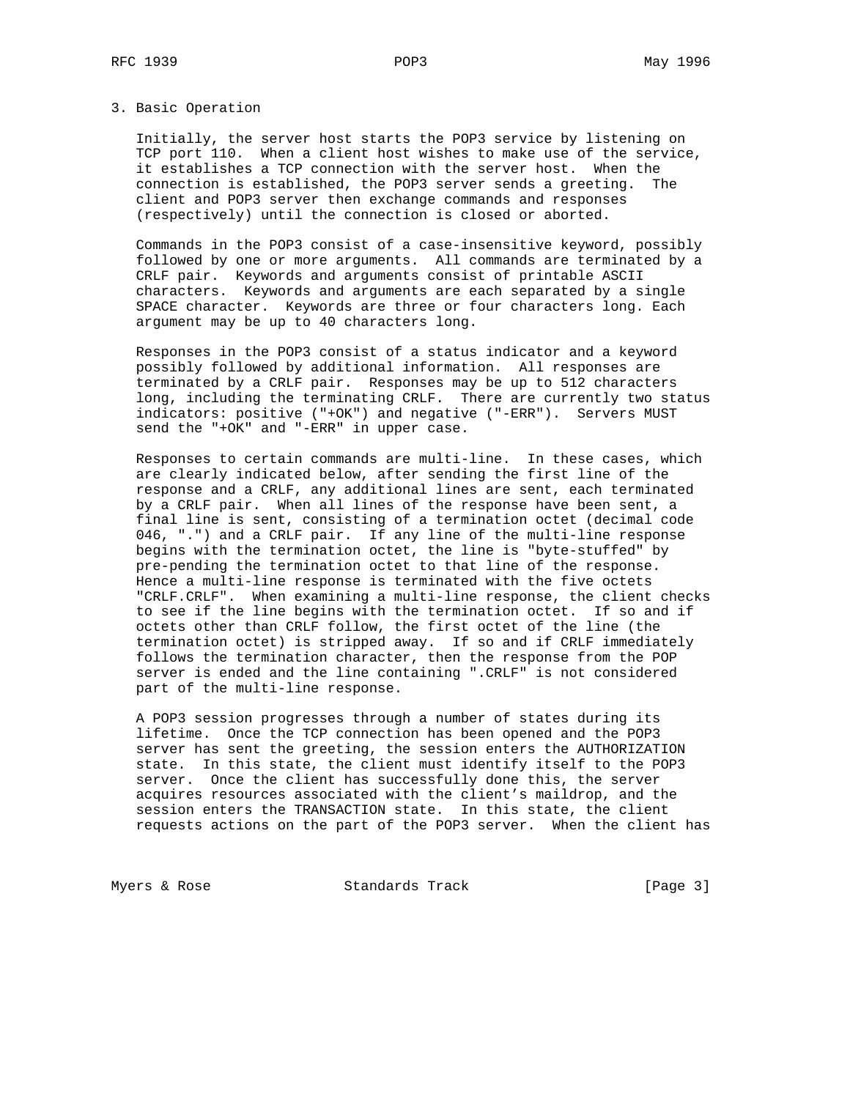### 3. Basic Operation

 Initially, the server host starts the POP3 service by listening on TCP port 110. When a client host wishes to make use of the service, it establishes a TCP connection with the server host. When the connection is established, the POP3 server sends a greeting. The client and POP3 server then exchange commands and responses (respectively) until the connection is closed or aborted.

 Commands in the POP3 consist of a case-insensitive keyword, possibly followed by one or more arguments. All commands are terminated by a CRLF pair. Keywords and arguments consist of printable ASCII characters. Keywords and arguments are each separated by a single SPACE character. Keywords are three or four characters long. Each argument may be up to 40 characters long.

 Responses in the POP3 consist of a status indicator and a keyword possibly followed by additional information. All responses are terminated by a CRLF pair. Responses may be up to 512 characters long, including the terminating CRLF. There are currently two status indicators: positive ("+OK") and negative ("-ERR"). Servers MUST send the "+OK" and "-ERR" in upper case.

 Responses to certain commands are multi-line. In these cases, which are clearly indicated below, after sending the first line of the response and a CRLF, any additional lines are sent, each terminated by a CRLF pair. When all lines of the response have been sent, a final line is sent, consisting of a termination octet (decimal code 046, ".") and a CRLF pair. If any line of the multi-line response begins with the termination octet, the line is "byte-stuffed" by pre-pending the termination octet to that line of the response. Hence a multi-line response is terminated with the five octets "CRLF.CRLF". When examining a multi-line response, the client checks to see if the line begins with the termination octet. If so and if octets other than CRLF follow, the first octet of the line (the termination octet) is stripped away. If so and if CRLF immediately follows the termination character, then the response from the POP server is ended and the line containing ".CRLF" is not considered part of the multi-line response.

 A POP3 session progresses through a number of states during its lifetime. Once the TCP connection has been opened and the POP3 server has sent the greeting, the session enters the AUTHORIZATION state. In this state, the client must identify itself to the POP3 server. Once the client has successfully done this, the server acquires resources associated with the client's maildrop, and the session enters the TRANSACTION state. In this state, the client requests actions on the part of the POP3 server. When the client has

Myers & Rose Standards Track [Page 3]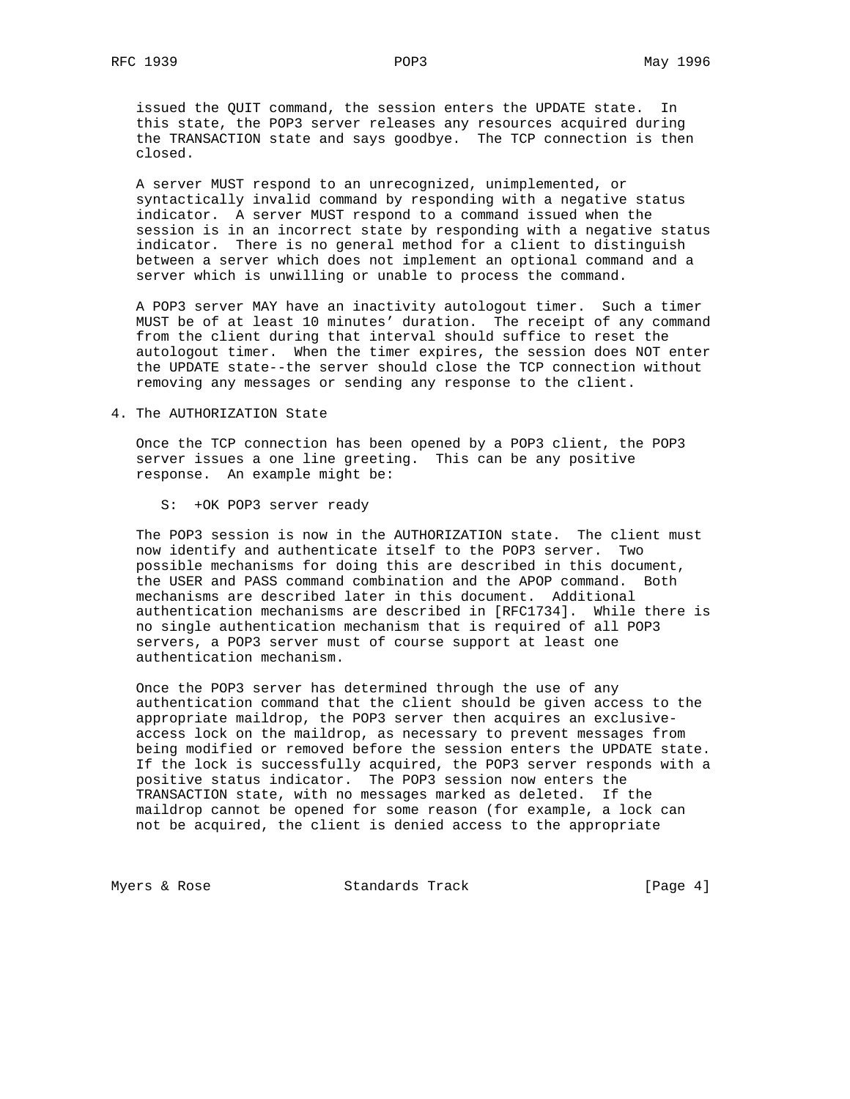issued the QUIT command, the session enters the UPDATE state. In this state, the POP3 server releases any resources acquired during the TRANSACTION state and says goodbye. The TCP connection is then closed.

 A server MUST respond to an unrecognized, unimplemented, or syntactically invalid command by responding with a negative status indicator. A server MUST respond to a command issued when the session is in an incorrect state by responding with a negative status indicator. There is no general method for a client to distinguish between a server which does not implement an optional command and a server which is unwilling or unable to process the command.

 A POP3 server MAY have an inactivity autologout timer. Such a timer MUST be of at least 10 minutes' duration. The receipt of any command from the client during that interval should suffice to reset the autologout timer. When the timer expires, the session does NOT enter the UPDATE state--the server should close the TCP connection without removing any messages or sending any response to the client.

## 4. The AUTHORIZATION State

 Once the TCP connection has been opened by a POP3 client, the POP3 server issues a one line greeting. This can be any positive response. An example might be:

S: +OK POP3 server ready

 The POP3 session is now in the AUTHORIZATION state. The client must now identify and authenticate itself to the POP3 server. Two possible mechanisms for doing this are described in this document, the USER and PASS command combination and the APOP command. Both mechanisms are described later in this document. Additional authentication mechanisms are described in [RFC1734]. While there is no single authentication mechanism that is required of all POP3 servers, a POP3 server must of course support at least one authentication mechanism.

 Once the POP3 server has determined through the use of any authentication command that the client should be given access to the appropriate maildrop, the POP3 server then acquires an exclusive access lock on the maildrop, as necessary to prevent messages from being modified or removed before the session enters the UPDATE state. If the lock is successfully acquired, the POP3 server responds with a positive status indicator. The POP3 session now enters the TRANSACTION state, with no messages marked as deleted. If the maildrop cannot be opened for some reason (for example, a lock can not be acquired, the client is denied access to the appropriate

Myers & Rose Standards Track [Page 4]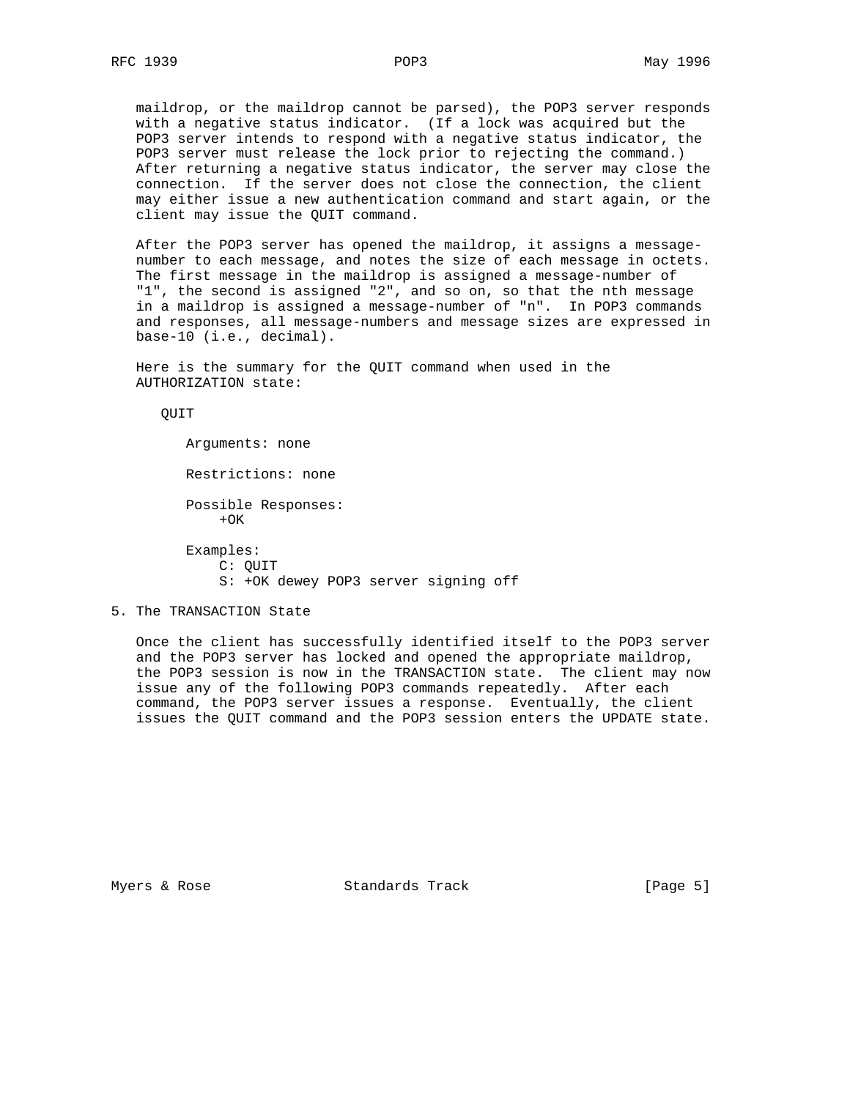maildrop, or the maildrop cannot be parsed), the POP3 server responds with a negative status indicator. (If a lock was acquired but the POP3 server intends to respond with a negative status indicator, the POP3 server must release the lock prior to rejecting the command.) After returning a negative status indicator, the server may close the connection. If the server does not close the connection, the client may either issue a new authentication command and start again, or the client may issue the QUIT command.

 After the POP3 server has opened the maildrop, it assigns a message number to each message, and notes the size of each message in octets. The first message in the maildrop is assigned a message-number of "1", the second is assigned "2", and so on, so that the nth message in a maildrop is assigned a message-number of "n". In POP3 commands and responses, all message-numbers and message sizes are expressed in base-10 (i.e., decimal).

 Here is the summary for the QUIT command when used in the AUTHORIZATION state:

QUIT

 Arguments: none Restrictions: none Possible Responses:  $+OK$  Examples: C: QUIT S: +OK dewey POP3 server signing off

# 5. The TRANSACTION State

 Once the client has successfully identified itself to the POP3 server and the POP3 server has locked and opened the appropriate maildrop, the POP3 session is now in the TRANSACTION state. The client may now issue any of the following POP3 commands repeatedly. After each command, the POP3 server issues a response. Eventually, the client issues the QUIT command and the POP3 session enters the UPDATE state.

Myers & Rose Standards Track (Page 5)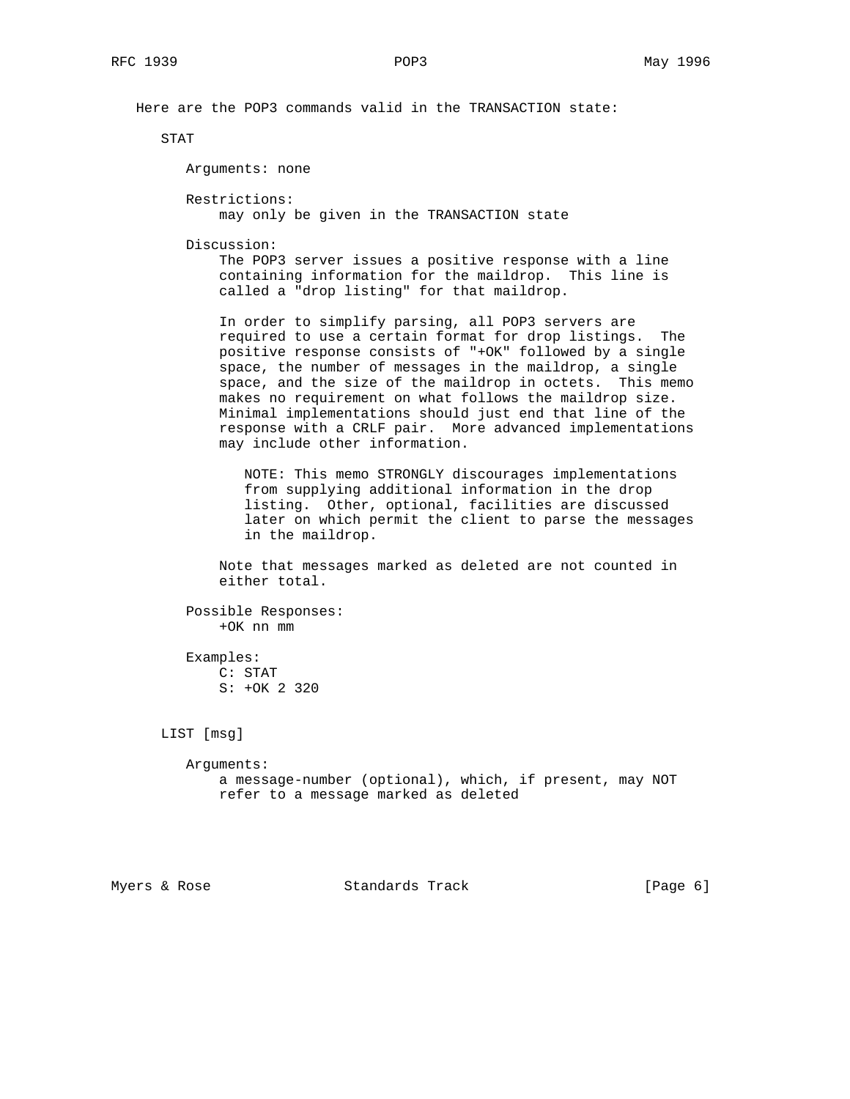Here are the POP3 commands valid in the TRANSACTION state:

STAT

Arguments: none

Restrictions:

may only be given in the TRANSACTION state

Discussion:

 The POP3 server issues a positive response with a line containing information for the maildrop. This line is called a "drop listing" for that maildrop.

 In order to simplify parsing, all POP3 servers are required to use a certain format for drop listings. The positive response consists of "+OK" followed by a single space, the number of messages in the maildrop, a single space, and the size of the maildrop in octets. This memo makes no requirement on what follows the maildrop size. Minimal implementations should just end that line of the response with a CRLF pair. More advanced implementations may include other information.

 NOTE: This memo STRONGLY discourages implementations from supplying additional information in the drop listing. Other, optional, facilities are discussed later on which permit the client to parse the messages in the maildrop.

 Note that messages marked as deleted are not counted in either total.

 Possible Responses: +OK nn mm

 Examples: C: STAT S: +OK 2 320

LIST [msg]

 Arguments: a message-number (optional), which, if present, may NOT refer to a message marked as deleted

Myers & Rose Standards Track (Page 6)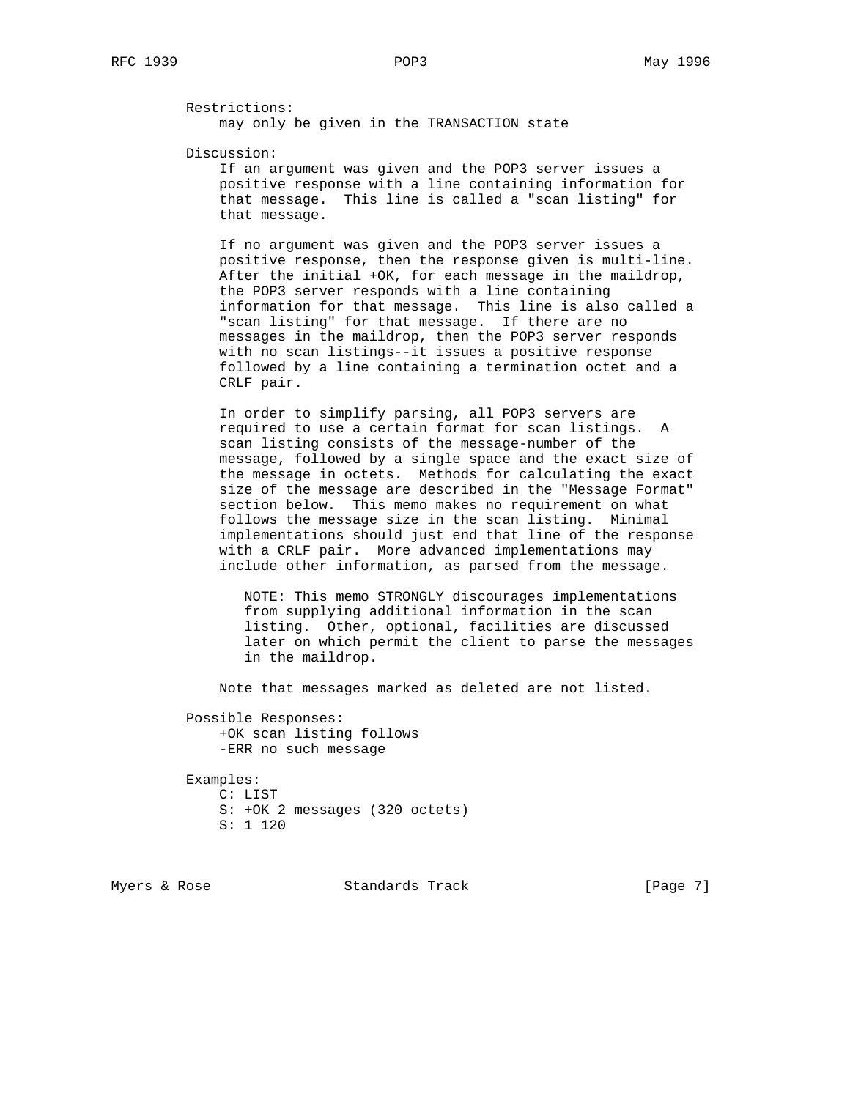Restrictions:

may only be given in the TRANSACTION state

Discussion:

 If an argument was given and the POP3 server issues a positive response with a line containing information for that message. This line is called a "scan listing" for that message.

 If no argument was given and the POP3 server issues a positive response, then the response given is multi-line. After the initial +OK, for each message in the maildrop, the POP3 server responds with a line containing information for that message. This line is also called a "scan listing" for that message. If there are no messages in the maildrop, then the POP3 server responds with no scan listings--it issues a positive response followed by a line containing a termination octet and a CRLF pair.

 In order to simplify parsing, all POP3 servers are required to use a certain format for scan listings. A scan listing consists of the message-number of the message, followed by a single space and the exact size of the message in octets. Methods for calculating the exact size of the message are described in the "Message Format" section below. This memo makes no requirement on what follows the message size in the scan listing. Minimal implementations should just end that line of the response with a CRLF pair. More advanced implementations may include other information, as parsed from the message.

 NOTE: This memo STRONGLY discourages implementations from supplying additional information in the scan listing. Other, optional, facilities are discussed later on which permit the client to parse the messages in the maildrop.

Note that messages marked as deleted are not listed.

 Possible Responses: +OK scan listing follows -ERR no such message

 Examples: C: LIST S: +OK 2 messages (320 octets) S: 1 120

Myers & Rose Standards Track [Page 7]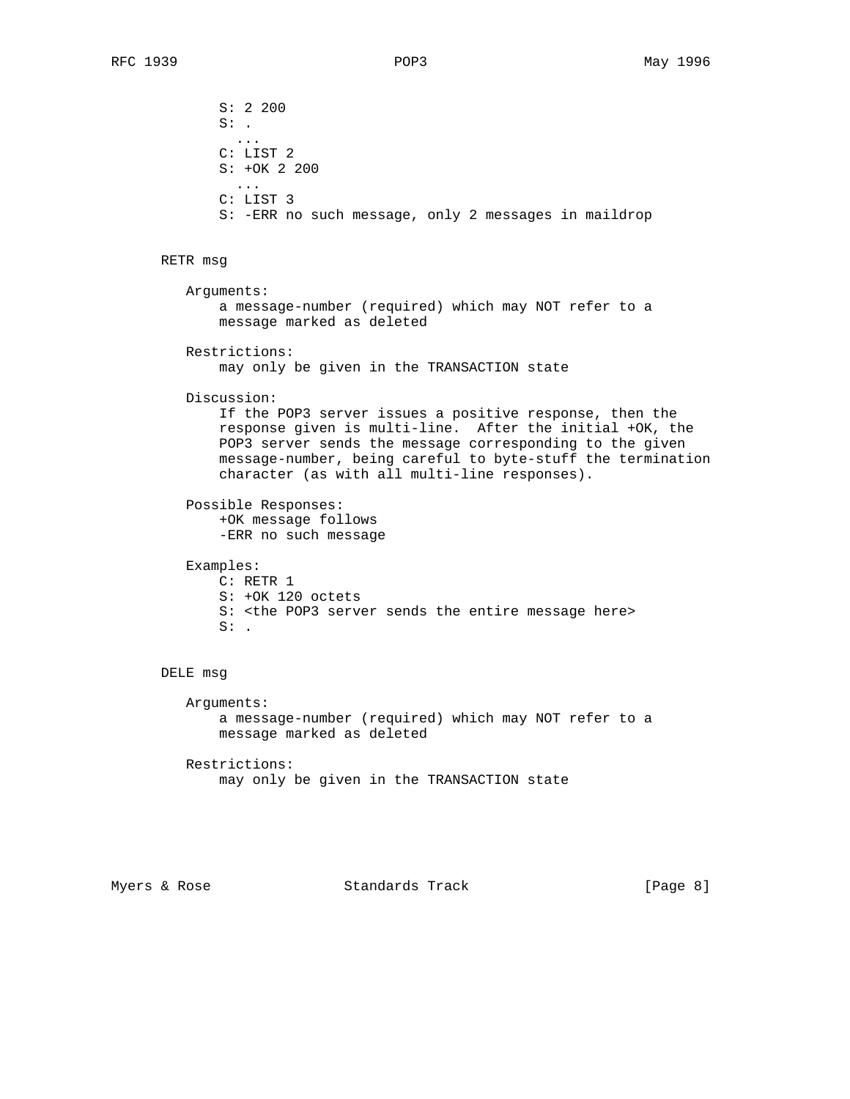S: 2 200  $S:$  . ... C: LIST 2 S: +OK 2 200 ... C: LIST 3 S: -ERR no such message, only 2 messages in maildrop RETR msg Arguments: a message-number (required) which may NOT refer to a message marked as deleted Restrictions: may only be given in the TRANSACTION state Discussion: If the POP3 server issues a positive response, then the response given is multi-line. After the initial +OK, the POP3 server sends the message corresponding to the given message-number, being careful to byte-stuff the termination character (as with all multi-line responses). Possible Responses: +OK message follows -ERR no such message Examples: C: RETR 1 S: +OK 120 octets S: <the POP3 server sends the entire message here>  $S:$ . DELE msg Arguments: a message-number (required) which may NOT refer to a message marked as deleted

> Restrictions: may only be given in the TRANSACTION state

Myers & Rose Standards Track [Page 8]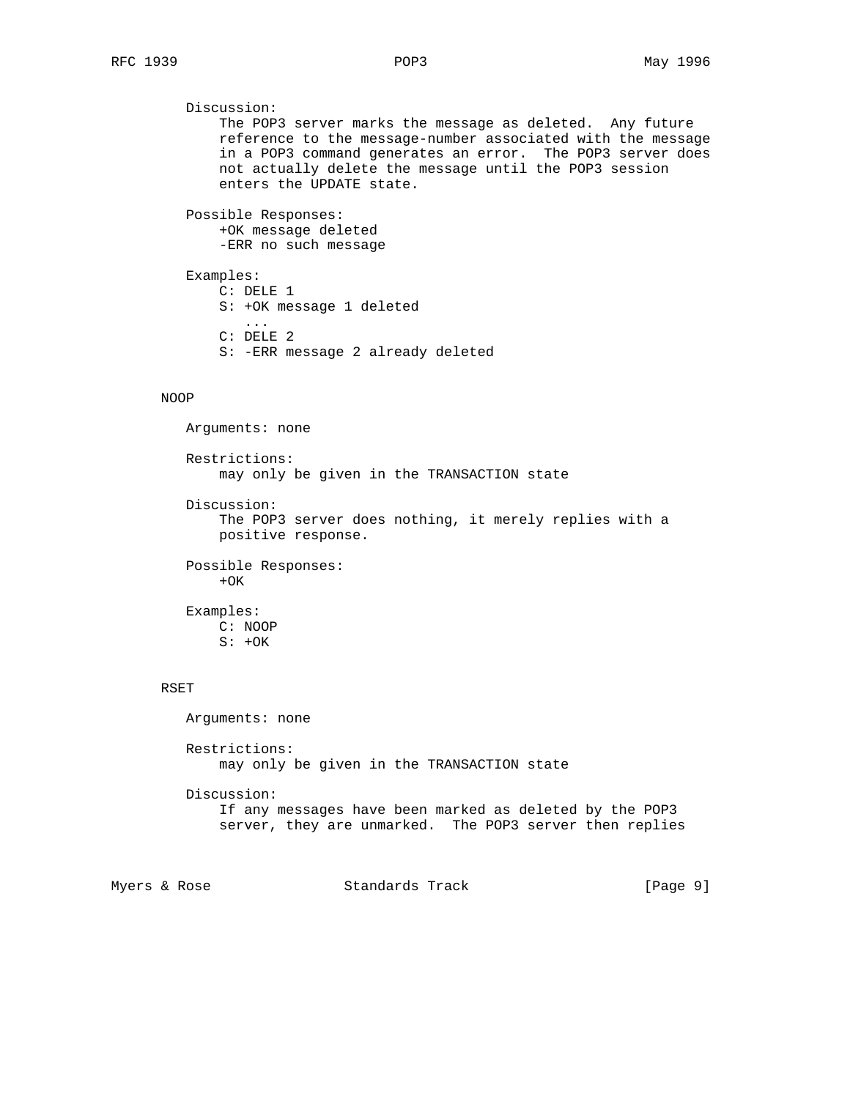```
 Discussion:
       The POP3 server marks the message as deleted. Any future
       reference to the message-number associated with the message
       in a POP3 command generates an error. The POP3 server does
       not actually delete the message until the POP3 session
       enters the UPDATE state.
   Possible Responses:
       +OK message deleted
       -ERR no such message
   Examples:
       C: DELE 1
       S: +OK message 1 deleted
          ...
       C: DELE 2
       S: -ERR message 2 already deleted
NOOP
   Arguments: none
   Restrictions:
       may only be given in the TRANSACTION state
   Discussion:
       The POP3 server does nothing, it merely replies with a
       positive response.
   Possible Responses:
      +OK Examples:
       C: NOOP
      S: +OK RSET
   Arguments: none
   Restrictions:
       may only be given in the TRANSACTION state
   Discussion:
       If any messages have been marked as deleted by the POP3
       server, they are unmarked. The POP3 server then replies
```
Myers & Rose Standards Track [Page 9]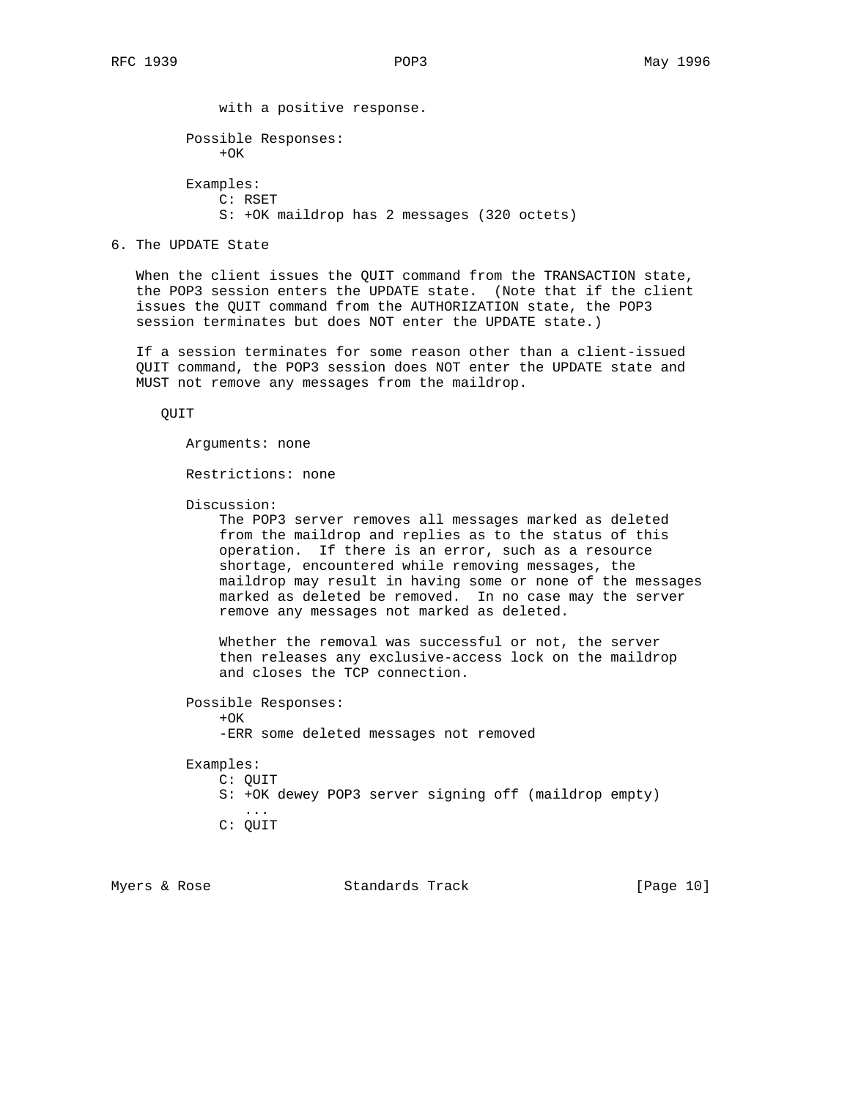with a positive response. Possible Responses:  $+OK$  Examples: C: RSET S: +OK maildrop has 2 messages (320 octets)

# 6. The UPDATE State

 When the client issues the QUIT command from the TRANSACTION state, the POP3 session enters the UPDATE state. (Note that if the client issues the QUIT command from the AUTHORIZATION state, the POP3 session terminates but does NOT enter the UPDATE state.)

 If a session terminates for some reason other than a client-issued QUIT command, the POP3 session does NOT enter the UPDATE state and MUST not remove any messages from the maildrop.

QUIT

Arguments: none

Restrictions: none

Discussion:

 The POP3 server removes all messages marked as deleted from the maildrop and replies as to the status of this operation. If there is an error, such as a resource shortage, encountered while removing messages, the maildrop may result in having some or none of the messages marked as deleted be removed. In no case may the server remove any messages not marked as deleted.

 Whether the removal was successful or not, the server then releases any exclusive-access lock on the maildrop and closes the TCP connection.

 Possible Responses:  $+OK$ 

-ERR some deleted messages not removed

Examples:

- C: QUIT
- S: +OK dewey POP3 server signing off (maildrop empty) ...
	- C: QUIT

Myers & Rose  $S$  Standards Track [Page 10]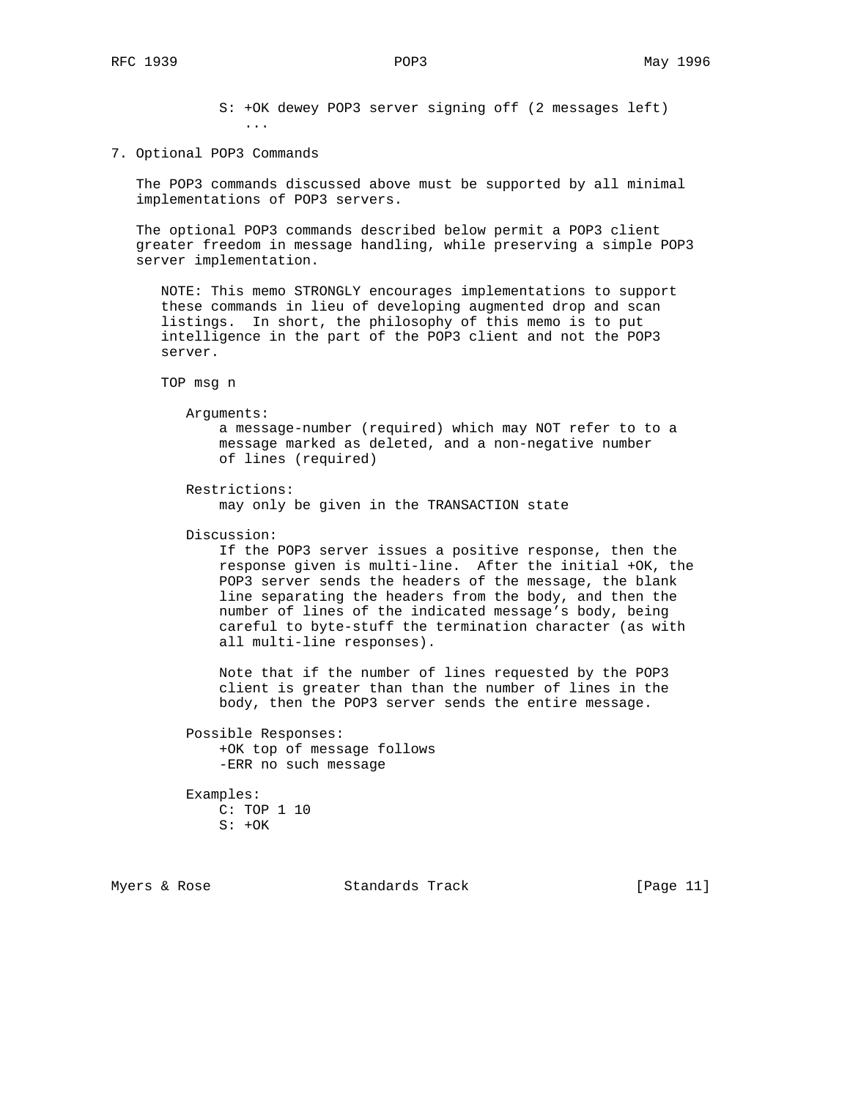S: +OK dewey POP3 server signing off (2 messages left) ...

7. Optional POP3 Commands

 The POP3 commands discussed above must be supported by all minimal implementations of POP3 servers.

 The optional POP3 commands described below permit a POP3 client greater freedom in message handling, while preserving a simple POP3 server implementation.

 NOTE: This memo STRONGLY encourages implementations to support these commands in lieu of developing augmented drop and scan listings. In short, the philosophy of this memo is to put intelligence in the part of the POP3 client and not the POP3 server.

TOP msg n

Arguments:

 a message-number (required) which may NOT refer to to a message marked as deleted, and a non-negative number of lines (required)

```
 Restrictions:
```
may only be given in the TRANSACTION state

Discussion:

 If the POP3 server issues a positive response, then the response given is multi-line. After the initial +OK, the POP3 server sends the headers of the message, the blank line separating the headers from the body, and then the number of lines of the indicated message's body, being careful to byte-stuff the termination character (as with all multi-line responses).

 Note that if the number of lines requested by the POP3 client is greater than than the number of lines in the body, then the POP3 server sends the entire message.

 Possible Responses: +OK top of message follows -ERR no such message

 Examples: C: TOP 1 10  $S: +OK$ 

Myers & Rose  $S$  Standards Track [Page 11]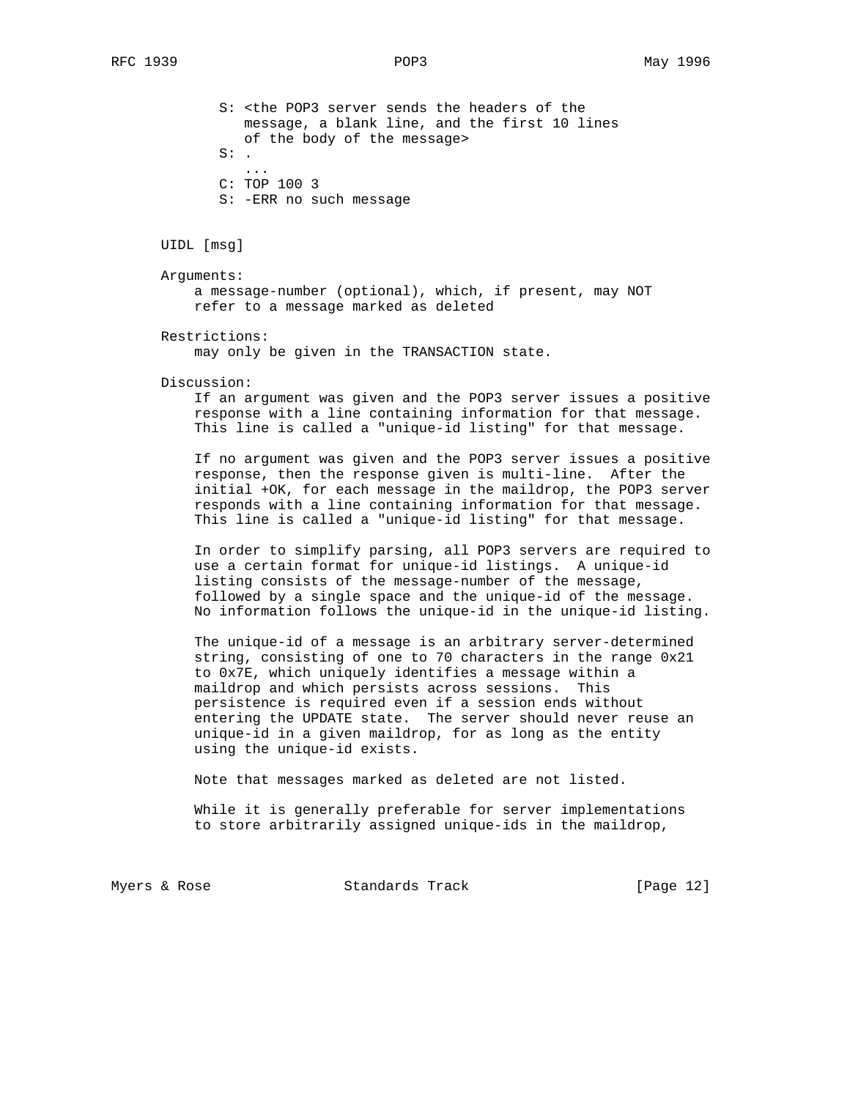S: <the POP3 server sends the headers of the message, a blank line, and the first 10 lines of the body of the message>  $S:$  . ... C: TOP 100 3

S: -ERR no such message

UIDL [msg]

Arguments:

 a message-number (optional), which, if present, may NOT refer to a message marked as deleted

Restrictions:

may only be given in the TRANSACTION state.

Discussion:

 If an argument was given and the POP3 server issues a positive response with a line containing information for that message. This line is called a "unique-id listing" for that message.

 If no argument was given and the POP3 server issues a positive response, then the response given is multi-line. After the initial +OK, for each message in the maildrop, the POP3 server responds with a line containing information for that message. This line is called a "unique-id listing" for that message.

 In order to simplify parsing, all POP3 servers are required to use a certain format for unique-id listings. A unique-id listing consists of the message-number of the message, followed by a single space and the unique-id of the message. No information follows the unique-id in the unique-id listing.

 The unique-id of a message is an arbitrary server-determined string, consisting of one to 70 characters in the range 0x21 to 0x7E, which uniquely identifies a message within a maildrop and which persists across sessions. This persistence is required even if a session ends without entering the UPDATE state. The server should never reuse an unique-id in a given maildrop, for as long as the entity using the unique-id exists.

Note that messages marked as deleted are not listed.

 While it is generally preferable for server implementations to store arbitrarily assigned unique-ids in the maildrop,

Myers & Rose  $S$  Standards Track [Page 12]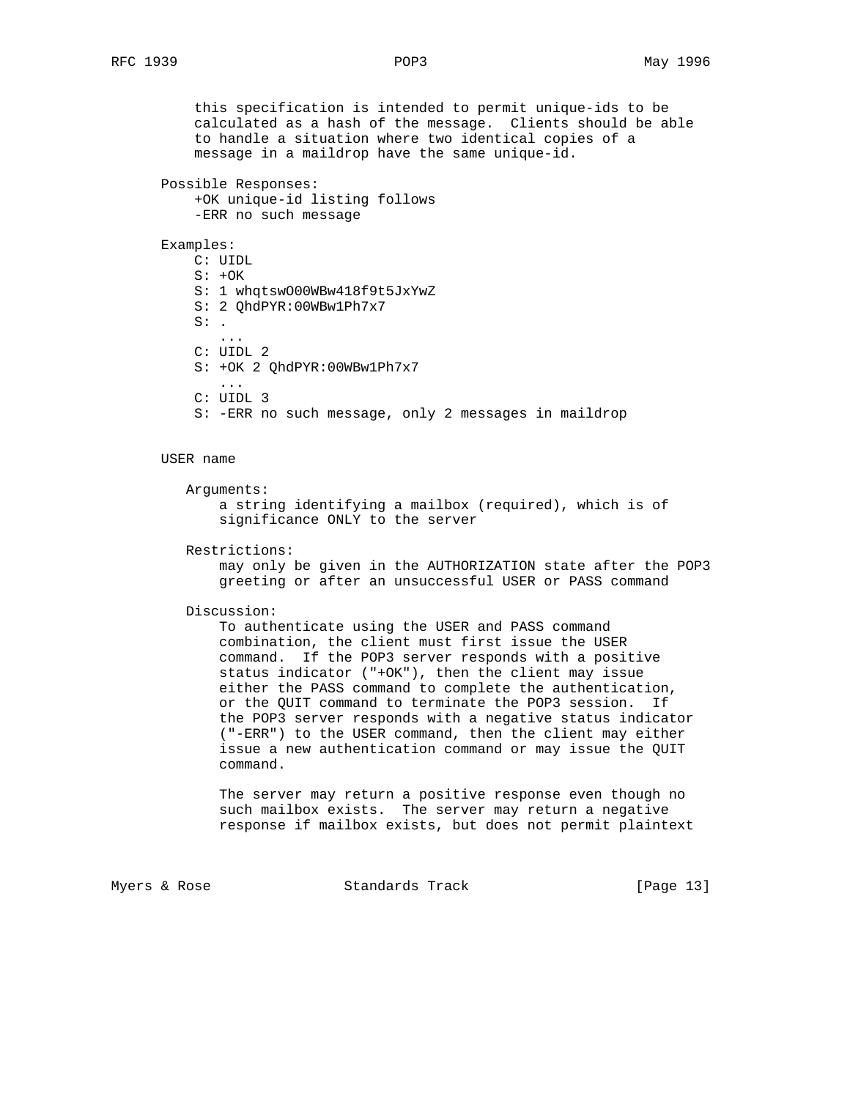this specification is intended to permit unique-ids to be calculated as a hash of the message. Clients should be able to handle a situation where two identical copies of a message in a maildrop have the same unique-id.

Possible Responses:

```
 +OK unique-id listing follows
-ERR no such message
```
#### Examples:

 C: UIDL  $S: +OK$  S: 1 whqtswO00WBw418f9t5JxYwZ S: 2 QhdPYR:00WBw1Ph7x7  $S:$ . ... C: UIDL 2 S: +OK 2 QhdPYR:00WBw1Ph7x7 ... C: UIDL 3

S: -ERR no such message, only 2 messages in maildrop

## USER name

```
 Arguments:
    a string identifying a mailbox (required), which is of
    significance ONLY to the server
```
Restrictions:

 may only be given in the AUTHORIZATION state after the POP3 greeting or after an unsuccessful USER or PASS command

#### Discussion:

 To authenticate using the USER and PASS command combination, the client must first issue the USER command. If the POP3 server responds with a positive status indicator ("+OK"), then the client may issue either the PASS command to complete the authentication, or the QUIT command to terminate the POP3 session. If the POP3 server responds with a negative status indicator ("-ERR") to the USER command, then the client may either issue a new authentication command or may issue the QUIT command.

 The server may return a positive response even though no such mailbox exists. The server may return a negative response if mailbox exists, but does not permit plaintext

Myers & Rose The Standards Track Track [Page 13]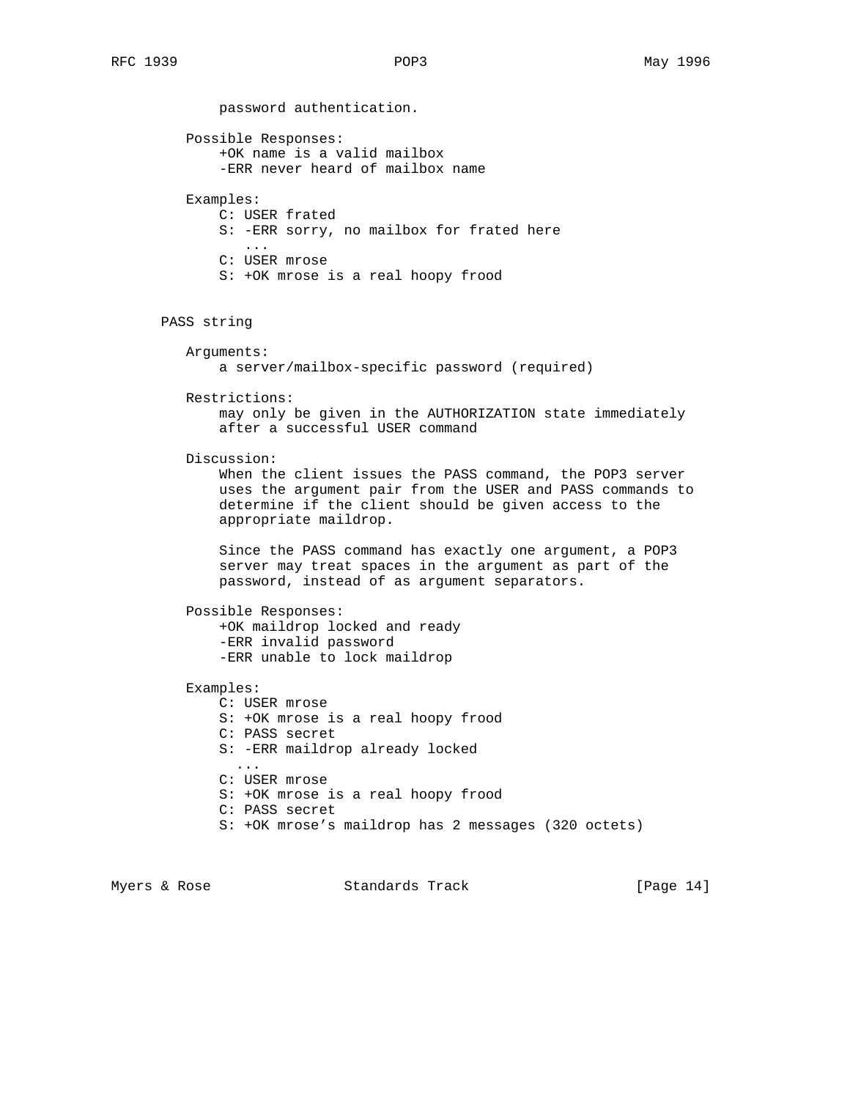password authentication. Possible Responses: +OK name is a valid mailbox -ERR never heard of mailbox name Examples: C: USER frated S: -ERR sorry, no mailbox for frated here ... C: USER mrose S: +OK mrose is a real hoopy frood PASS string Arguments: a server/mailbox-specific password (required) Restrictions: may only be given in the AUTHORIZATION state immediately after a successful USER command Discussion: When the client issues the PASS command, the POP3 server uses the argument pair from the USER and PASS commands to determine if the client should be given access to the appropriate maildrop. Since the PASS command has exactly one argument, a POP3 server may treat spaces in the argument as part of the password, instead of as argument separators. Possible Responses: +OK maildrop locked and ready -ERR invalid password -ERR unable to lock maildrop Examples: C: USER mrose S: +OK mrose is a real hoopy frood C: PASS secret S: -ERR maildrop already locked ... C: USER mrose S: +OK mrose is a real hoopy frood C: PASS secret S: +OK mrose's maildrop has 2 messages (320 octets)

Myers & Rose  $S$  Standards Track [Page 14]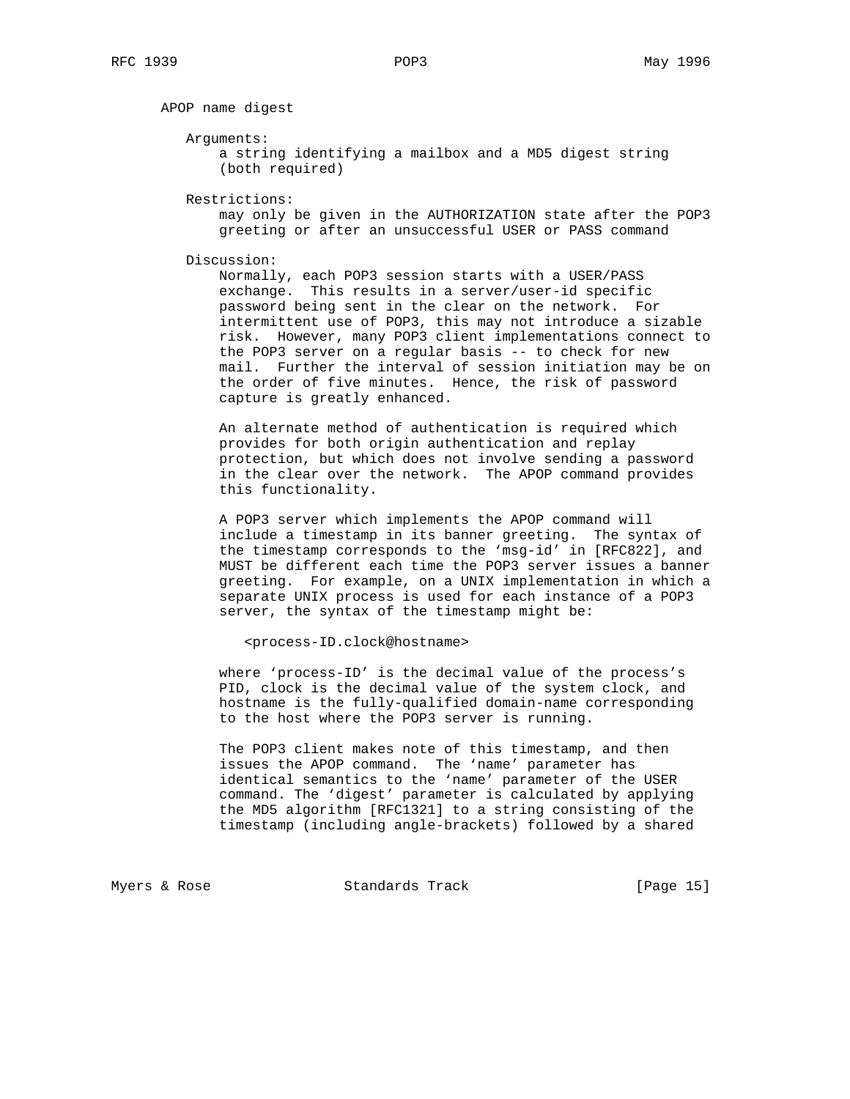APOP name digest

Arguments:

 a string identifying a mailbox and a MD5 digest string (both required)

Restrictions:

 may only be given in the AUTHORIZATION state after the POP3 greeting or after an unsuccessful USER or PASS command

Discussion:

 Normally, each POP3 session starts with a USER/PASS exchange. This results in a server/user-id specific password being sent in the clear on the network. For intermittent use of POP3, this may not introduce a sizable risk. However, many POP3 client implementations connect to the POP3 server on a regular basis -- to check for new mail. Further the interval of session initiation may be on the order of five minutes. Hence, the risk of password capture is greatly enhanced.

 An alternate method of authentication is required which provides for both origin authentication and replay protection, but which does not involve sending a password in the clear over the network. The APOP command provides this functionality.

 A POP3 server which implements the APOP command will include a timestamp in its banner greeting. The syntax of the timestamp corresponds to the 'msg-id' in [RFC822], and MUST be different each time the POP3 server issues a banner greeting. For example, on a UNIX implementation in which a separate UNIX process is used for each instance of a POP3 server, the syntax of the timestamp might be:

<process-ID.clock@hostname>

 where 'process-ID' is the decimal value of the process's PID, clock is the decimal value of the system clock, and hostname is the fully-qualified domain-name corresponding to the host where the POP3 server is running.

 The POP3 client makes note of this timestamp, and then issues the APOP command. The 'name' parameter has identical semantics to the 'name' parameter of the USER command. The 'digest' parameter is calculated by applying the MD5 algorithm [RFC1321] to a string consisting of the timestamp (including angle-brackets) followed by a shared

Myers & Rose  $S$  Standards Track [Page 15]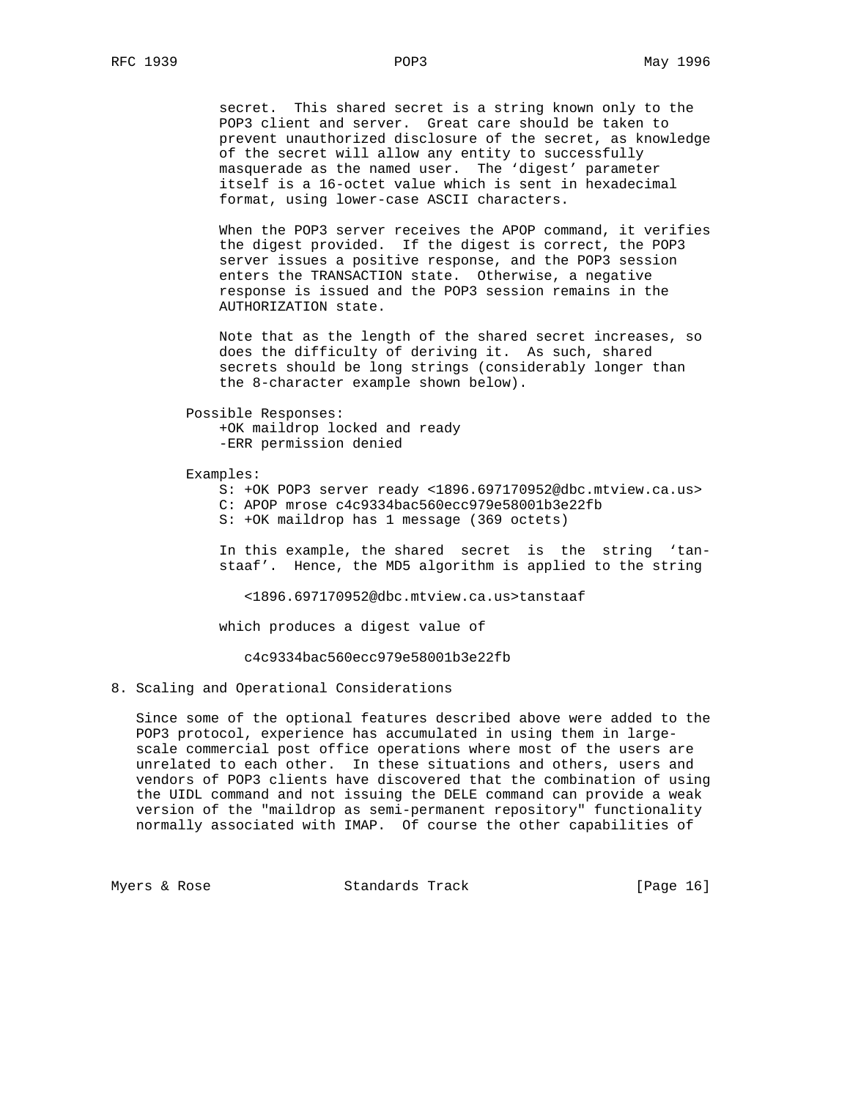secret. This shared secret is a string known only to the POP3 client and server. Great care should be taken to prevent unauthorized disclosure of the secret, as knowledge of the secret will allow any entity to successfully masquerade as the named user. The 'digest' parameter itself is a 16-octet value which is sent in hexadecimal format, using lower-case ASCII characters.

 When the POP3 server receives the APOP command, it verifies the digest provided. If the digest is correct, the POP3 server issues a positive response, and the POP3 session enters the TRANSACTION state. Otherwise, a negative response is issued and the POP3 session remains in the AUTHORIZATION state.

 Note that as the length of the shared secret increases, so does the difficulty of deriving it. As such, shared secrets should be long strings (considerably longer than the 8-character example shown below).

Possible Responses:

 +OK maildrop locked and ready -ERR permission denied

#### Examples:

 S: +OK POP3 server ready <1896.697170952@dbc.mtview.ca.us> C: APOP mrose c4c9334bac560ecc979e58001b3e22fb S: +OK maildrop has 1 message (369 octets)

 In this example, the shared secret is the string 'tan staaf'. Hence, the MD5 algorithm is applied to the string

<1896.697170952@dbc.mtview.ca.us>tanstaaf

which produces a digest value of

c4c9334bac560ecc979e58001b3e22fb

8. Scaling and Operational Considerations

 Since some of the optional features described above were added to the POP3 protocol, experience has accumulated in using them in large scale commercial post office operations where most of the users are unrelated to each other. In these situations and others, users and vendors of POP3 clients have discovered that the combination of using the UIDL command and not issuing the DELE command can provide a weak version of the "maildrop as semi-permanent repository" functionality normally associated with IMAP. Of course the other capabilities of

Myers & Rose  $S$  Standards Track [Page 16]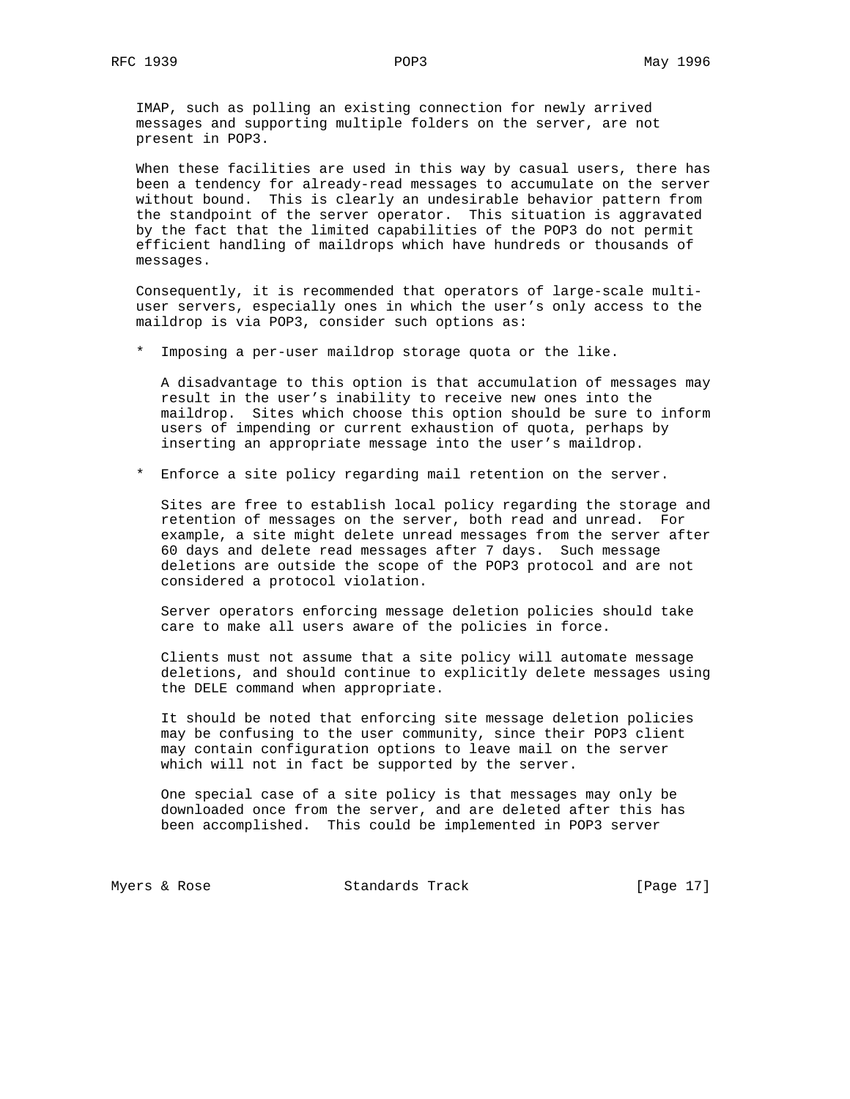IMAP, such as polling an existing connection for newly arrived messages and supporting multiple folders on the server, are not present in POP3.

 When these facilities are used in this way by casual users, there has been a tendency for already-read messages to accumulate on the server without bound. This is clearly an undesirable behavior pattern from the standpoint of the server operator. This situation is aggravated by the fact that the limited capabilities of the POP3 do not permit efficient handling of maildrops which have hundreds or thousands of messages.

 Consequently, it is recommended that operators of large-scale multi user servers, especially ones in which the user's only access to the maildrop is via POP3, consider such options as:

\* Imposing a per-user maildrop storage quota or the like.

 A disadvantage to this option is that accumulation of messages may result in the user's inability to receive new ones into the maildrop. Sites which choose this option should be sure to inform users of impending or current exhaustion of quota, perhaps by inserting an appropriate message into the user's maildrop.

\* Enforce a site policy regarding mail retention on the server.

 Sites are free to establish local policy regarding the storage and retention of messages on the server, both read and unread. For example, a site might delete unread messages from the server after 60 days and delete read messages after 7 days. Such message deletions are outside the scope of the POP3 protocol and are not considered a protocol violation.

 Server operators enforcing message deletion policies should take care to make all users aware of the policies in force.

 Clients must not assume that a site policy will automate message deletions, and should continue to explicitly delete messages using the DELE command when appropriate.

 It should be noted that enforcing site message deletion policies may be confusing to the user community, since their POP3 client may contain configuration options to leave mail on the server which will not in fact be supported by the server.

 One special case of a site policy is that messages may only be downloaded once from the server, and are deleted after this has been accomplished. This could be implemented in POP3 server

Myers & Rose Standards Track [Page 17]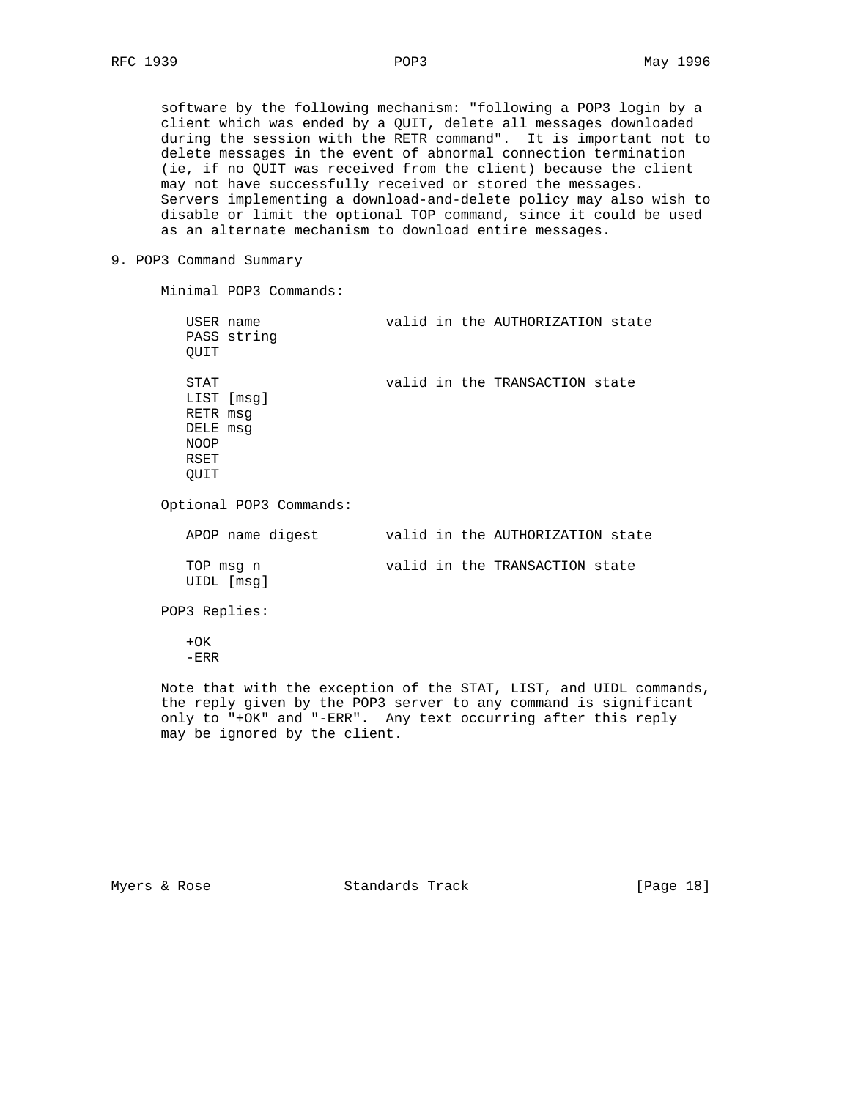software by the following mechanism: "following a POP3 login by a client which was ended by a QUIT, delete all messages downloaded during the session with the RETR command". It is important not to delete messages in the event of abnormal connection termination (ie, if no QUIT was received from the client) because the client may not have successfully received or stored the messages. Servers implementing a download-and-delete policy may also wish to disable or limit the optional TOP command, since it could be used as an alternate mechanism to download entire messages.

### 9. POP3 Command Summary

Minimal POP3 Commands:

| USER name<br>PASS string<br>QUIT                                          | valid in the AUTHORIZATION state |
|---------------------------------------------------------------------------|----------------------------------|
| STAT<br>LIST [msq]<br>RETR msq<br>DELE msg<br><b>NOOP</b><br>RSET<br>QUIT | valid in the TRANSACTION state   |
| Optional POP3 Commands:                                                   |                                  |
| APOP name digest                                                          | valid in the AUTHORIZATION state |
| TOP msq n<br>UIDL [msq]                                                   | valid in the TRANSACTION state   |
| POP3 Replies:                                                             |                                  |
| $+OK$                                                                     |                                  |

-ERR

 Note that with the exception of the STAT, LIST, and UIDL commands, the reply given by the POP3 server to any command is significant only to "+OK" and "-ERR". Any text occurring after this reply may be ignored by the client.

Myers & Rose  $S$  Standards Track [Page 18]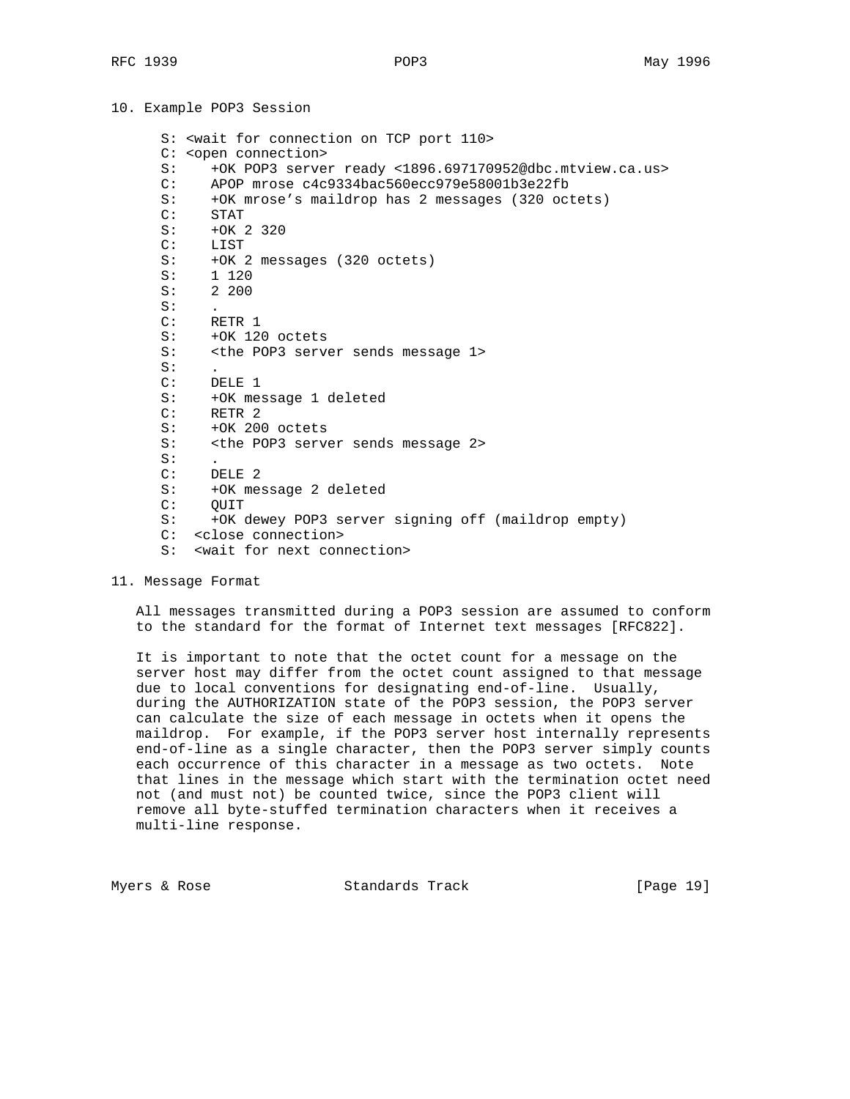# 10. Example POP3 Session

 S: <wait for connection on TCP port 110> C: <open connection> S: +OK POP3 server ready <1896.697170952@dbc.mtview.ca.us> C: APOP mrose c4c9334bac560ecc979e58001b3e22fb S: +OK mrose's maildrop has 2 messages (320 octets) C: STAT S: +OK 2 320 C: LIST S: +OK 2 messages (320 octets) S: 1 120 S: 2 200  $S:$  C: RETR 1 S: +OK 120 octets S: <the POP3 server sends message 1>  $S:$  C: DELE 1 S: +OK message 1 deleted C: RETR 2 S: +OK 200 octets S: <the POP3 server sends message 2> S:<br>C: DELE 2 S: +OK message 2 deleted C: QUIT S: +OK dewey POP3 server signing off (maildrop empty) C: <close connection> S: <wait for next connection>

11. Message Format

 All messages transmitted during a POP3 session are assumed to conform to the standard for the format of Internet text messages [RFC822].

 It is important to note that the octet count for a message on the server host may differ from the octet count assigned to that message due to local conventions for designating end-of-line. Usually, during the AUTHORIZATION state of the POP3 session, the POP3 server can calculate the size of each message in octets when it opens the maildrop. For example, if the POP3 server host internally represents end-of-line as a single character, then the POP3 server simply counts each occurrence of this character in a message as two octets. Note that lines in the message which start with the termination octet need not (and must not) be counted twice, since the POP3 client will remove all byte-stuffed termination characters when it receives a multi-line response.

Myers & Rose  $S$  Standards Track [Page 19]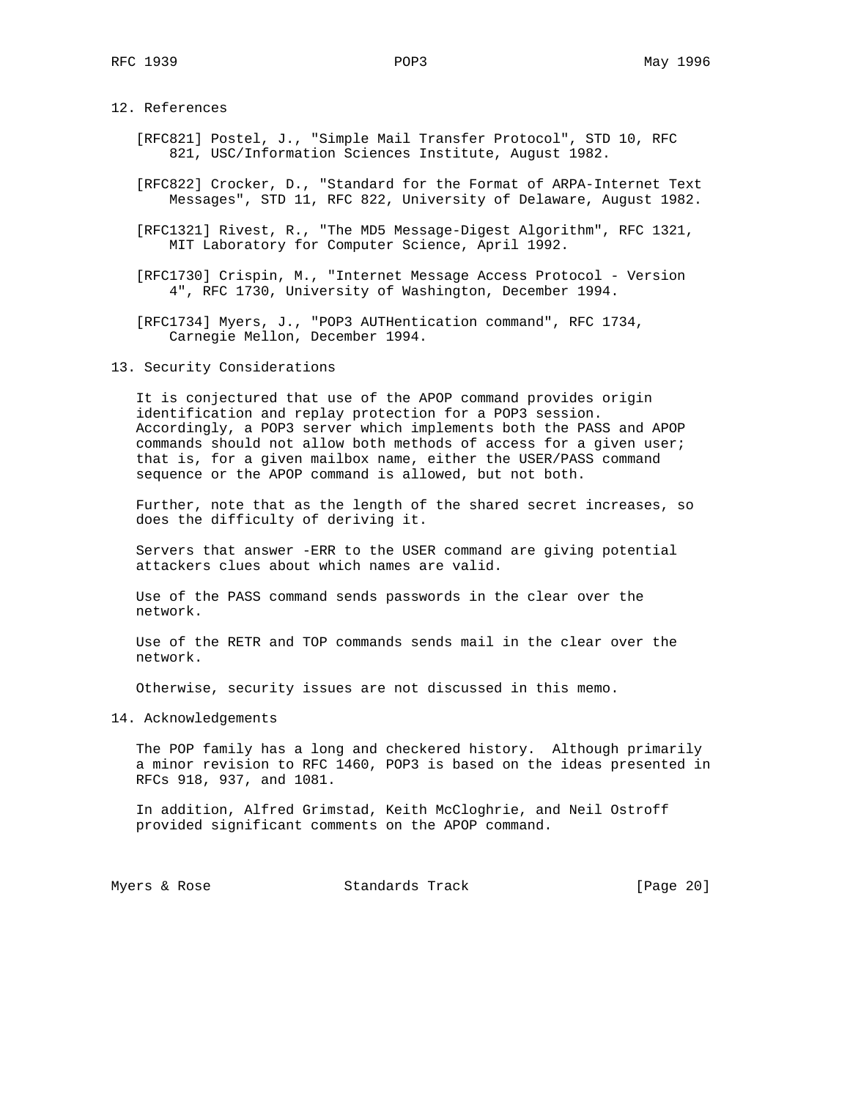12. References

- [RFC821] Postel, J., "Simple Mail Transfer Protocol", STD 10, RFC 821, USC/Information Sciences Institute, August 1982.
- [RFC822] Crocker, D., "Standard for the Format of ARPA-Internet Text Messages", STD 11, RFC 822, University of Delaware, August 1982.
- [RFC1321] Rivest, R., "The MD5 Message-Digest Algorithm", RFC 1321, MIT Laboratory for Computer Science, April 1992.
- [RFC1730] Crispin, M., "Internet Message Access Protocol Version 4", RFC 1730, University of Washington, December 1994.

 [RFC1734] Myers, J., "POP3 AUTHentication command", RFC 1734, Carnegie Mellon, December 1994.

13. Security Considerations

 It is conjectured that use of the APOP command provides origin identification and replay protection for a POP3 session. Accordingly, a POP3 server which implements both the PASS and APOP commands should not allow both methods of access for a given user; that is, for a given mailbox name, either the USER/PASS command sequence or the APOP command is allowed, but not both.

 Further, note that as the length of the shared secret increases, so does the difficulty of deriving it.

 Servers that answer -ERR to the USER command are giving potential attackers clues about which names are valid.

 Use of the PASS command sends passwords in the clear over the network.

 Use of the RETR and TOP commands sends mail in the clear over the network.

Otherwise, security issues are not discussed in this memo.

14. Acknowledgements

 The POP family has a long and checkered history. Although primarily a minor revision to RFC 1460, POP3 is based on the ideas presented in RFCs 918, 937, and 1081.

 In addition, Alfred Grimstad, Keith McCloghrie, and Neil Ostroff provided significant comments on the APOP command.

Myers & Rose Standards Track [Page 20]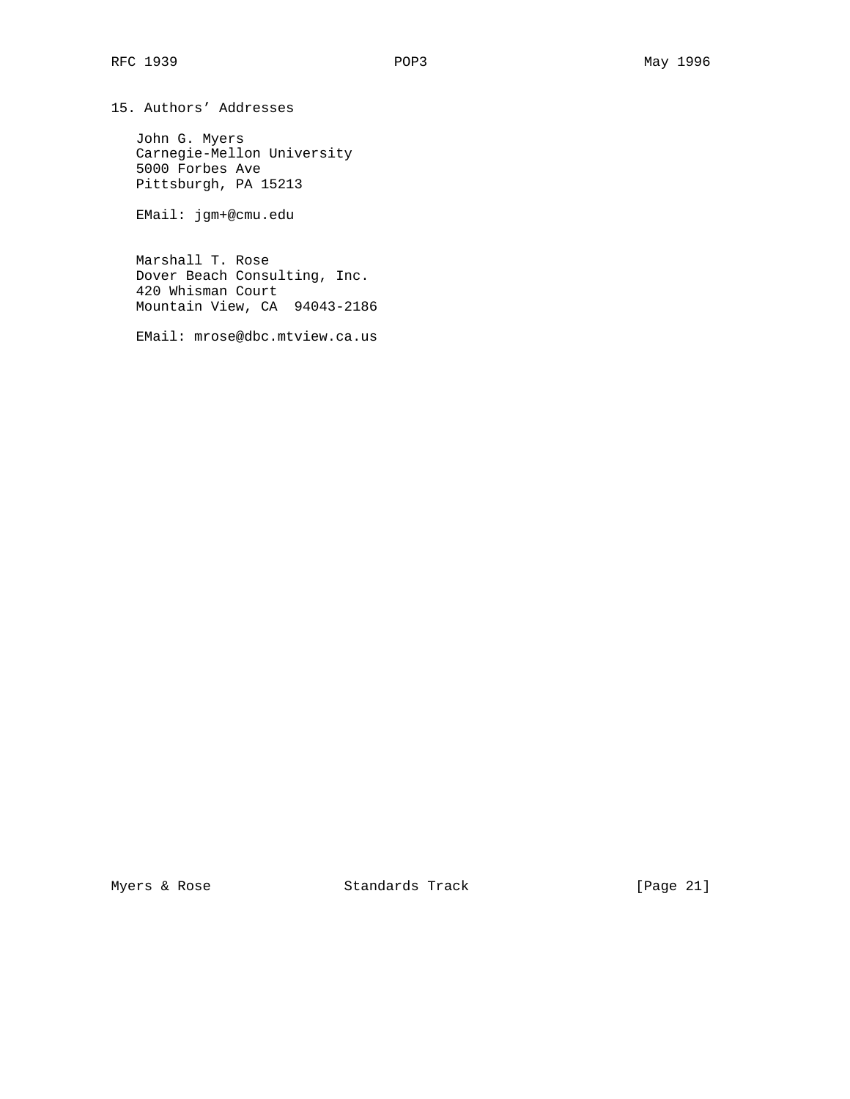John G. Myers Carnegie-Mellon University 5000 Forbes Ave Pittsburgh, PA 15213

EMail: jgm+@cmu.edu

 Marshall T. Rose Dover Beach Consulting, Inc. 420 Whisman Court Mountain View, CA 94043-2186

EMail: mrose@dbc.mtview.ca.us

Myers & Rose Standards Track [Page 21]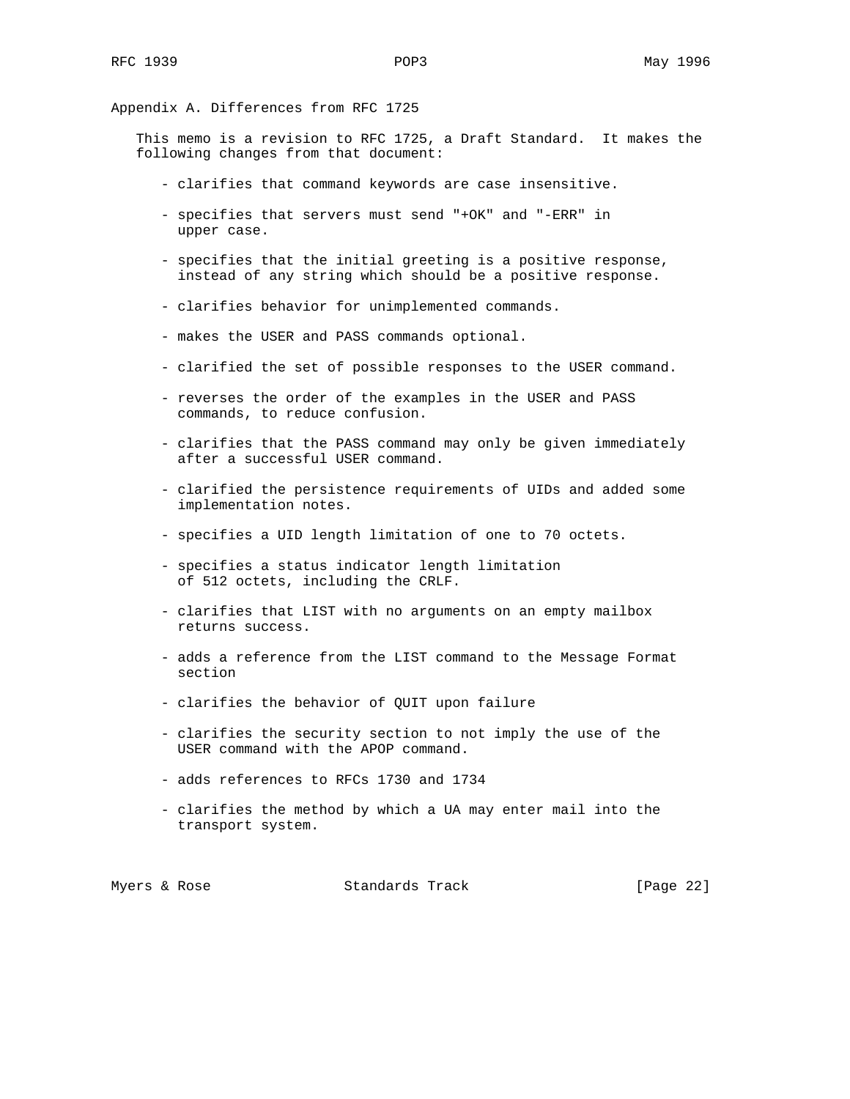Appendix A. Differences from RFC 1725

 This memo is a revision to RFC 1725, a Draft Standard. It makes the following changes from that document:

- clarifies that command keywords are case insensitive.
- specifies that servers must send "+OK" and "-ERR" in upper case.
- specifies that the initial greeting is a positive response, instead of any string which should be a positive response.
- clarifies behavior for unimplemented commands.
- makes the USER and PASS commands optional.
- clarified the set of possible responses to the USER command.
- reverses the order of the examples in the USER and PASS commands, to reduce confusion.
- clarifies that the PASS command may only be given immediately after a successful USER command.
- clarified the persistence requirements of UIDs and added some implementation notes.
- specifies a UID length limitation of one to 70 octets.
- specifies a status indicator length limitation of 512 octets, including the CRLF.
- clarifies that LIST with no arguments on an empty mailbox returns success.
- adds a reference from the LIST command to the Message Format section
- clarifies the behavior of QUIT upon failure
- clarifies the security section to not imply the use of the USER command with the APOP command.
- adds references to RFCs 1730 and 1734
- clarifies the method by which a UA may enter mail into the transport system.

|  | Myers & Rose | Standards Track | [Page $22$ ] |
|--|--------------|-----------------|--------------|
|--|--------------|-----------------|--------------|